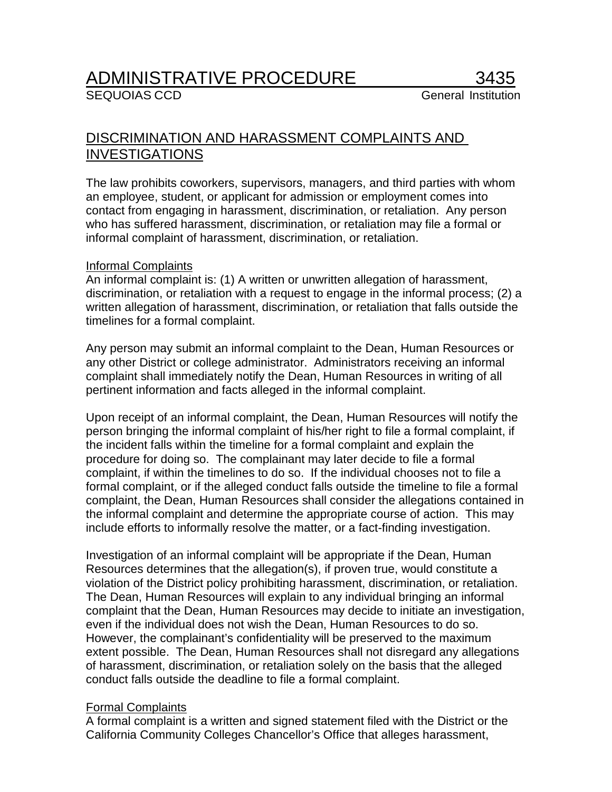# <u>ADMINISTRATIVE PROCEDURE</u><br>SEQUOIAS CCD

## DISCRIMINATION AND HARASSMENT COMPLAINTS AND INVESTIGATIONS

The law prohibits coworkers, supervisors, managers, and third parties with whom an employee, student, or applicant for admission or employment comes into contact from engaging in harassment, discrimination, or retaliation. Any person who has suffered harassment, discrimination, or retaliation may file a formal or informal complaint of harassment, discrimination, or retaliation.

## Informal Complaints

An informal complaint is: (1) A written or unwritten allegation of harassment, discrimination, or retaliation with a request to engage in the informal process; (2) a written allegation of harassment, discrimination, or retaliation that falls outside the timelines for a formal complaint.

Any person may submit an informal complaint to the Dean, Human Resources or any other District or college administrator. Administrators receiving an informal complaint shall immediately notify the Dean, Human Resources in writing of all pertinent information and facts alleged in the informal complaint.

Upon receipt of an informal complaint, the Dean, Human Resources will notify the person bringing the informal complaint of his/her right to file a formal complaint, if the incident falls within the timeline for a formal complaint and explain the procedure for doing so. The complainant may later decide to file a formal complaint, if within the timelines to do so. If the individual chooses not to file a formal complaint, or if the alleged conduct falls outside the timeline to file a formal complaint, the Dean, Human Resources shall consider the allegations contained in the informal complaint and determine the appropriate course of action. This may include efforts to informally resolve the matter, or a fact-finding investigation.

Investigation of an informal complaint will be appropriate if the Dean, Human Resources determines that the allegation(s), if proven true, would constitute a violation of the District policy prohibiting harassment, discrimination, or retaliation. The Dean, Human Resources will explain to any individual bringing an informal complaint that the Dean, Human Resources may decide to initiate an investigation, even if the individual does not wish the Dean, Human Resources to do so. However, the complainant's confidentiality will be preserved to the maximum extent possible. The Dean, Human Resources shall not disregard any allegations of harassment, discrimination, or retaliation solely on the basis that the alleged conduct falls outside the deadline to file a formal complaint.

## Formal Complaints

A formal complaint is a written and signed statement filed with the District or the California Community Colleges Chancellor's Office that alleges harassment,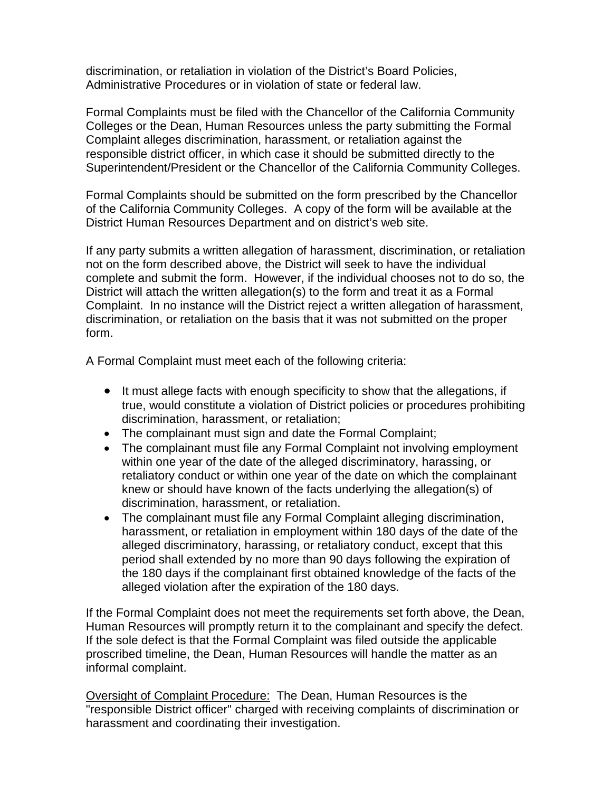discrimination, or retaliation in violation of the District's Board Policies, Administrative Procedures or in violation of state or federal law.

Formal Complaints must be filed with the Chancellor of the California Community Colleges or the Dean, Human Resources unless the party submitting the Formal Complaint alleges discrimination, harassment, or retaliation against the responsible district officer, in which case it should be submitted directly to the Superintendent/President or the Chancellor of the California Community Colleges.

Formal Complaints should be submitted on the form prescribed by the Chancellor of the California Community Colleges. A copy of the form will be available at the District Human Resources Department and on district's web site.

If any party submits a written allegation of harassment, discrimination, or retaliation not on the form described above, the District will seek to have the individual complete and submit the form. However, if the individual chooses not to do so, the District will attach the written allegation(s) to the form and treat it as a Formal Complaint. In no instance will the District reject a written allegation of harassment, discrimination, or retaliation on the basis that it was not submitted on the proper form.

A Formal Complaint must meet each of the following criteria:

- It must allege facts with enough specificity to show that the allegations, if true, would constitute a violation of District policies or procedures prohibiting discrimination, harassment, or retaliation;
- The complainant must sign and date the Formal Complaint;
- The complainant must file any Formal Complaint not involving employment within one year of the date of the alleged discriminatory, harassing, or retaliatory conduct or within one year of the date on which the complainant knew or should have known of the facts underlying the allegation(s) of discrimination, harassment, or retaliation.
- The complainant must file any Formal Complaint alleging discrimination, harassment, or retaliation in employment within 180 days of the date of the alleged discriminatory, harassing, or retaliatory conduct, except that this period shall extended by no more than 90 days following the expiration of the 180 days if the complainant first obtained knowledge of the facts of the alleged violation after the expiration of the 180 days.

If the Formal Complaint does not meet the requirements set forth above, the Dean, Human Resources will promptly return it to the complainant and specify the defect. If the sole defect is that the Formal Complaint was filed outside the applicable proscribed timeline, the Dean, Human Resources will handle the matter as an informal complaint.

Oversight of Complaint Procedure: The Dean, Human Resources is the "responsible District officer" charged with receiving complaints of discrimination or harassment and coordinating their investigation.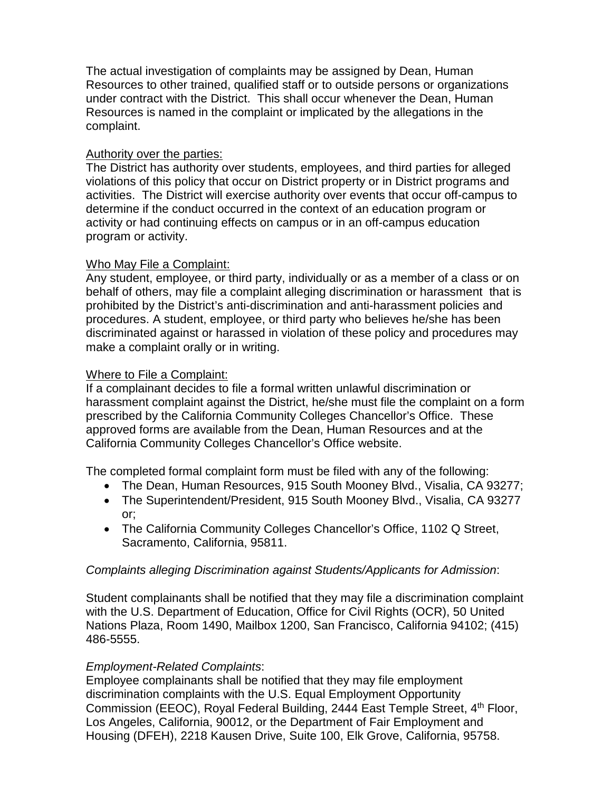The actual investigation of complaints may be assigned by Dean, Human Resources to other trained, qualified staff or to outside persons or organizations under contract with the District. This shall occur whenever the Dean, Human Resources is named in the complaint or implicated by the allegations in the complaint.

## Authority over the parties:

The District has authority over students, employees, and third parties for alleged violations of this policy that occur on District property or in District programs and activities. The District will exercise authority over events that occur off-campus to determine if the conduct occurred in the context of an education program or activity or had continuing effects on campus or in an off-campus education program or activity.

## Who May File a Complaint:

Any student, employee, or third party, individually or as a member of a class or on behalf of others, may file a complaint alleging discrimination or harassment that is prohibited by the District's anti-discrimination and anti-harassment policies and procedures. A student, employee, or third party who believes he/she has been discriminated against or harassed in violation of these policy and procedures may make a complaint orally or in writing.

## Where to File a Complaint:

If a complainant decides to file a formal written unlawful discrimination or harassment complaint against the District, he/she must file the complaint on a form prescribed by the California Community Colleges Chancellor's Office. These approved forms are available from the Dean, Human Resources and at the California Community Colleges Chancellor's Office website.

The completed formal complaint form must be filed with any of the following:

- The Dean, Human Resources, 915 South Mooney Blvd., Visalia, CA 93277;
- The Superintendent/President, 915 South Mooney Blvd., Visalia, CA 93277 or;
- The California Community Colleges Chancellor's Office, 1102 Q Street, Sacramento, California, 95811.

## *Complaints alleging Discrimination against Students/Applicants for Admission*:

Student complainants shall be notified that they may file a discrimination complaint with the U.S. Department of Education, Office for Civil Rights (OCR), 50 United Nations Plaza, Room 1490, Mailbox 1200, San Francisco, California 94102; (415) 486-5555.

## *Employment-Related Complaints*:

Employee complainants shall be notified that they may file employment discrimination complaints with the U.S. Equal Employment Opportunity Commission (EEOC), Royal Federal Building, 2444 East Temple Street, 4<sup>th</sup> Floor, Los Angeles, California, 90012, or the Department of Fair Employment and Housing (DFEH), 2218 Kausen Drive, Suite 100, Elk Grove, California, 95758.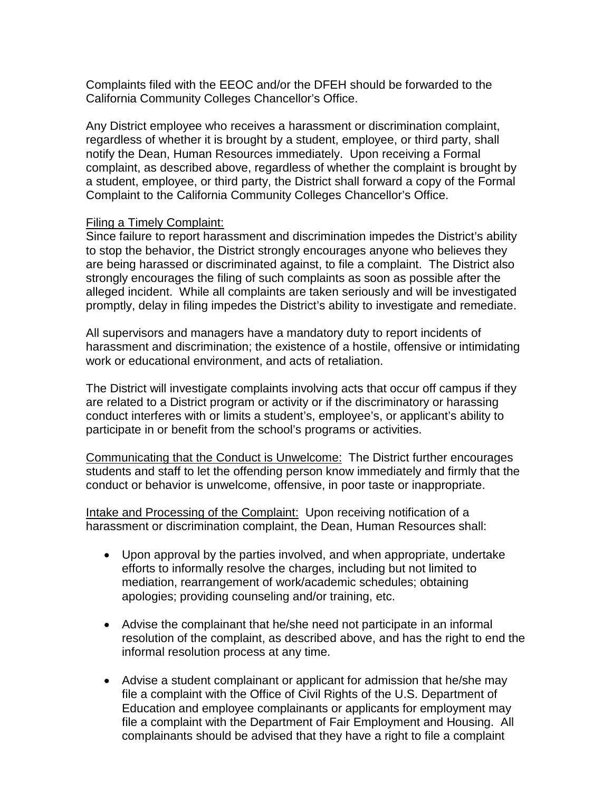Complaints filed with the EEOC and/or the DFEH should be forwarded to the California Community Colleges Chancellor's Office.

Any District employee who receives a harassment or discrimination complaint, regardless of whether it is brought by a student, employee, or third party, shall notify the Dean, Human Resources immediately. Upon receiving a Formal complaint, as described above, regardless of whether the complaint is brought by a student, employee, or third party, the District shall forward a copy of the Formal Complaint to the California Community Colleges Chancellor's Office.

#### Filing a Timely Complaint:

Since failure to report harassment and discrimination impedes the District's ability to stop the behavior, the District strongly encourages anyone who believes they are being harassed or discriminated against, to file a complaint. The District also strongly encourages the filing of such complaints as soon as possible after the alleged incident. While all complaints are taken seriously and will be investigated promptly, delay in filing impedes the District's ability to investigate and remediate.

All supervisors and managers have a mandatory duty to report incidents of harassment and discrimination; the existence of a hostile, offensive or intimidating work or educational environment, and acts of retaliation.

The District will investigate complaints involving acts that occur off campus if they are related to a District program or activity or if the discriminatory or harassing conduct interferes with or limits a student's, employee's, or applicant's ability to participate in or benefit from the school's programs or activities.

Communicating that the Conduct is Unwelcome: The District further encourages students and staff to let the offending person know immediately and firmly that the conduct or behavior is unwelcome, offensive, in poor taste or inappropriate.

Intake and Processing of the Complaint:Upon receiving notification of a harassment or discrimination complaint, the Dean, Human Resources shall:

- Upon approval by the parties involved, and when appropriate, undertake efforts to informally resolve the charges, including but not limited to mediation, rearrangement of work/academic schedules; obtaining apologies; providing counseling and/or training, etc.
- Advise the complainant that he/she need not participate in an informal resolution of the complaint, as described above, and has the right to end the informal resolution process at any time.
- Advise a student complainant or applicant for admission that he/she may file a complaint with the Office of Civil Rights of the U.S. Department of Education and employee complainants or applicants for employment may file a complaint with the Department of Fair Employment and Housing. All complainants should be advised that they have a right to file a complaint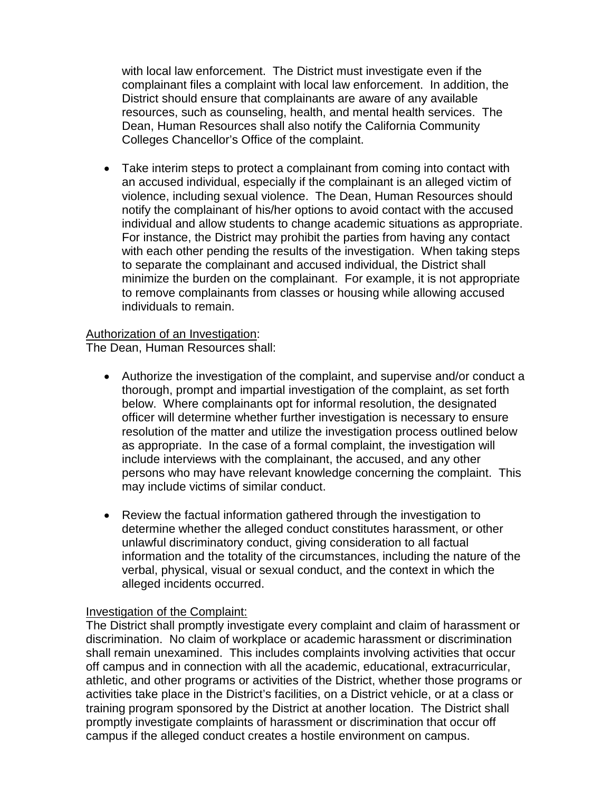with local law enforcement. The District must investigate even if the complainant files a complaint with local law enforcement. In addition, the District should ensure that complainants are aware of any available resources, such as counseling, health, and mental health services. The Dean, Human Resources shall also notify the California Community Colleges Chancellor's Office of the complaint.

• Take interim steps to protect a complainant from coming into contact with an accused individual, especially if the complainant is an alleged victim of violence, including sexual violence. The Dean, Human Resources should notify the complainant of his/her options to avoid contact with the accused individual and allow students to change academic situations as appropriate. For instance, the District may prohibit the parties from having any contact with each other pending the results of the investigation. When taking steps to separate the complainant and accused individual, the District shall minimize the burden on the complainant. For example, it is not appropriate to remove complainants from classes or housing while allowing accused individuals to remain.

#### Authorization of an Investigation:

The Dean, Human Resources shall:

- Authorize the investigation of the complaint, and supervise and/or conduct a thorough, prompt and impartial investigation of the complaint, as set forth below. Where complainants opt for informal resolution, the designated officer will determine whether further investigation is necessary to ensure resolution of the matter and utilize the investigation process outlined below as appropriate. In the case of a formal complaint, the investigation will include interviews with the complainant, the accused, and any other persons who may have relevant knowledge concerning the complaint. This may include victims of similar conduct.
- Review the factual information gathered through the investigation to determine whether the alleged conduct constitutes harassment, or other unlawful discriminatory conduct, giving consideration to all factual information and the totality of the circumstances, including the nature of the verbal, physical, visual or sexual conduct, and the context in which the alleged incidents occurred.

## Investigation of the Complaint:

The District shall promptly investigate every complaint and claim of harassment or discrimination. No claim of workplace or academic harassment or discrimination shall remain unexamined. This includes complaints involving activities that occur off campus and in connection with all the academic, educational, extracurricular, athletic, and other programs or activities of the District, whether those programs or activities take place in the District's facilities, on a District vehicle, or at a class or training program sponsored by the District at another location. The District shall promptly investigate complaints of harassment or discrimination that occur off campus if the alleged conduct creates a hostile environment on campus.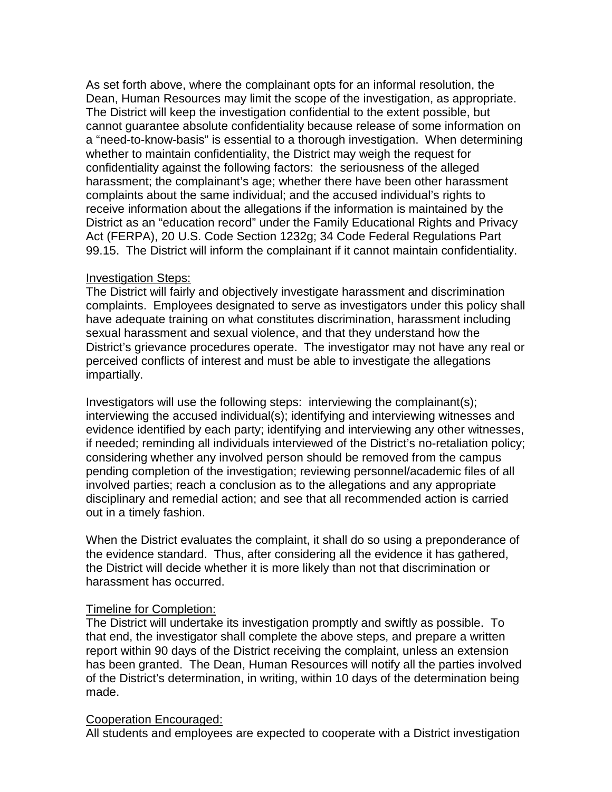As set forth above, where the complainant opts for an informal resolution, the Dean, Human Resources may limit the scope of the investigation, as appropriate. The District will keep the investigation confidential to the extent possible, but cannot guarantee absolute confidentiality because release of some information on a "need-to-know-basis" is essential to a thorough investigation. When determining whether to maintain confidentiality, the District may weigh the request for confidentiality against the following factors: the seriousness of the alleged harassment; the complainant's age; whether there have been other harassment complaints about the same individual; and the accused individual's rights to receive information about the allegations if the information is maintained by the District as an "education record" under the Family Educational Rights and Privacy Act (FERPA), 20 U.S. Code Section 1232g; 34 Code Federal Regulations Part 99.15. The District will inform the complainant if it cannot maintain confidentiality.

#### Investigation Steps:

The District will fairly and objectively investigate harassment and discrimination complaints. Employees designated to serve as investigators under this policy shall have adequate training on what constitutes discrimination, harassment including sexual harassment and sexual violence, and that they understand how the District's grievance procedures operate. The investigator may not have any real or perceived conflicts of interest and must be able to investigate the allegations impartially.

Investigators will use the following steps: interviewing the complainant(s); interviewing the accused individual(s); identifying and interviewing witnesses and evidence identified by each party; identifying and interviewing any other witnesses, if needed; reminding all individuals interviewed of the District's no-retaliation policy; considering whether any involved person should be removed from the campus pending completion of the investigation; reviewing personnel/academic files of all involved parties; reach a conclusion as to the allegations and any appropriate disciplinary and remedial action; and see that all recommended action is carried out in a timely fashion.

When the District evaluates the complaint, it shall do so using a preponderance of the evidence standard. Thus, after considering all the evidence it has gathered, the District will decide whether it is more likely than not that discrimination or harassment has occurred.

## Timeline for Completion:

The District will undertake its investigation promptly and swiftly as possible. To that end, the investigator shall complete the above steps, and prepare a written report within 90 days of the District receiving the complaint, unless an extension has been granted. The Dean, Human Resources will notify all the parties involved of the District's determination, in writing, within 10 days of the determination being made.

## Cooperation Encouraged:

All students and employees are expected to cooperate with a District investigation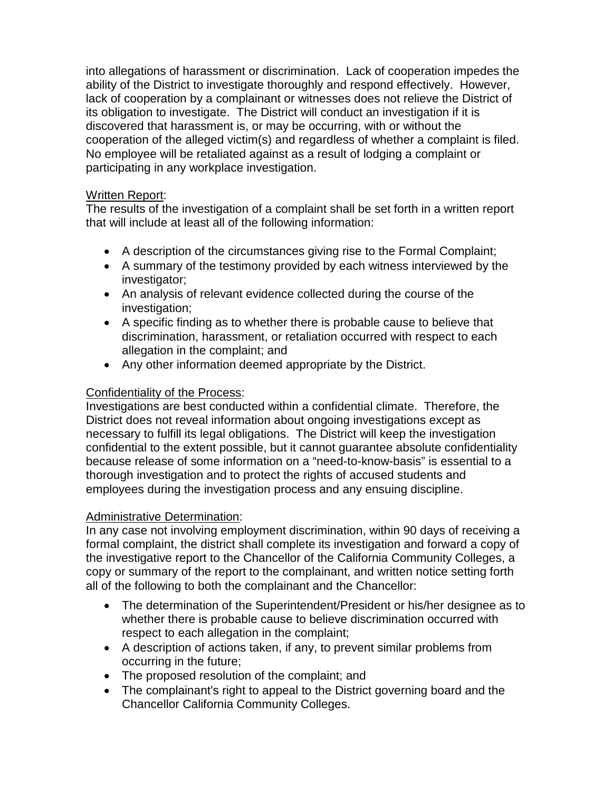into allegations of harassment or discrimination. Lack of cooperation impedes the ability of the District to investigate thoroughly and respond effectively. However, lack of cooperation by a complainant or witnesses does not relieve the District of its obligation to investigate. The District will conduct an investigation if it is discovered that harassment is, or may be occurring, with or without the cooperation of the alleged victim(s) and regardless of whether a complaint is filed. No employee will be retaliated against as a result of lodging a complaint or participating in any workplace investigation.

## Written Report:

The results of the investigation of a complaint shall be set forth in a written report that will include at least all of the following information:

- A description of the circumstances giving rise to the Formal Complaint;
- A summary of the testimony provided by each witness interviewed by the investigator;
- An analysis of relevant evidence collected during the course of the investigation;
- A specific finding as to whether there is probable cause to believe that discrimination, harassment, or retaliation occurred with respect to each allegation in the complaint; and
- Any other information deemed appropriate by the District.

## Confidentiality of the Process:

Investigations are best conducted within a confidential climate. Therefore, the District does not reveal information about ongoing investigations except as necessary to fulfill its legal obligations. The District will keep the investigation confidential to the extent possible, but it cannot guarantee absolute confidentiality because release of some information on a "need-to-know-basis" is essential to a thorough investigation and to protect the rights of accused students and employees during the investigation process and any ensuing discipline.

## Administrative Determination:

In any case not involving employment discrimination, within 90 days of receiving a formal complaint, the district shall complete its investigation and forward a copy of the investigative report to the Chancellor of the California Community Colleges, a copy or summary of the report to the complainant, and written notice setting forth all of the following to both the complainant and the Chancellor:

- The determination of the Superintendent/President or his/her designee as to whether there is probable cause to believe discrimination occurred with respect to each allegation in the complaint;
- A description of actions taken, if any, to prevent similar problems from occurring in the future;
- The proposed resolution of the complaint; and
- The complainant's right to appeal to the District governing board and the Chancellor California Community Colleges.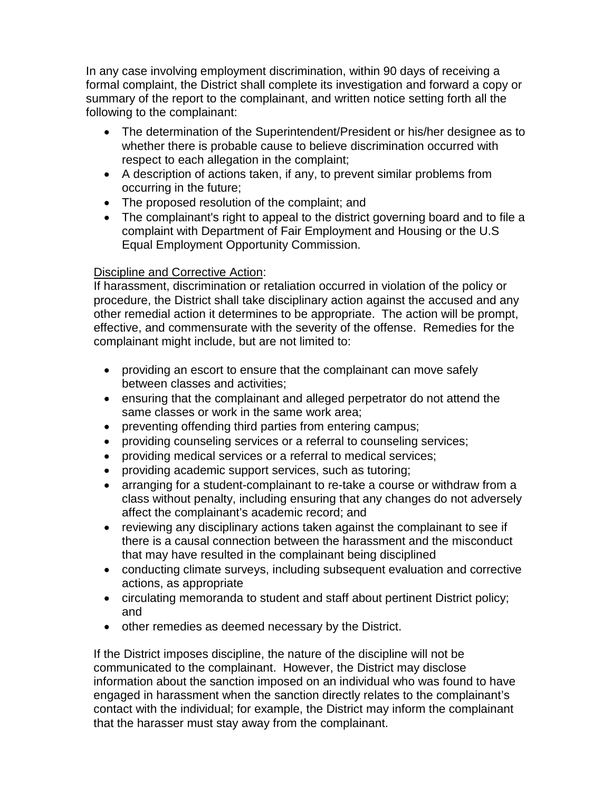In any case involving employment discrimination, within 90 days of receiving a formal complaint, the District shall complete its investigation and forward a copy or summary of the report to the complainant, and written notice setting forth all the following to the complainant:

- The determination of the Superintendent/President or his/her designee as to whether there is probable cause to believe discrimination occurred with respect to each allegation in the complaint;
- A description of actions taken, if any, to prevent similar problems from occurring in the future;
- The proposed resolution of the complaint; and
- The complainant's right to appeal to the district governing board and to file a complaint with Department of Fair Employment and Housing or the U.S Equal Employment Opportunity Commission.

## Discipline and Corrective Action:

If harassment, discrimination or retaliation occurred in violation of the policy or procedure, the District shall take disciplinary action against the accused and any other remedial action it determines to be appropriate. The action will be prompt, effective, and commensurate with the severity of the offense. Remedies for the complainant might include, but are not limited to:

- providing an escort to ensure that the complainant can move safely between classes and activities;
- ensuring that the complainant and alleged perpetrator do not attend the same classes or work in the same work area;
- preventing offending third parties from entering campus;
- providing counseling services or a referral to counseling services;
- providing medical services or a referral to medical services;
- providing academic support services, such as tutoring;
- arranging for a student-complainant to re-take a course or withdraw from a class without penalty, including ensuring that any changes do not adversely affect the complainant's academic record; and
- reviewing any disciplinary actions taken against the complainant to see if there is a causal connection between the harassment and the misconduct that may have resulted in the complainant being disciplined
- conducting climate surveys, including subsequent evaluation and corrective actions, as appropriate
- circulating memoranda to student and staff about pertinent District policy; and
- other remedies as deemed necessary by the District.

If the District imposes discipline, the nature of the discipline will not be communicated to the complainant. However, the District may disclose information about the sanction imposed on an individual who was found to have engaged in harassment when the sanction directly relates to the complainant's contact with the individual; for example, the District may inform the complainant that the harasser must stay away from the complainant.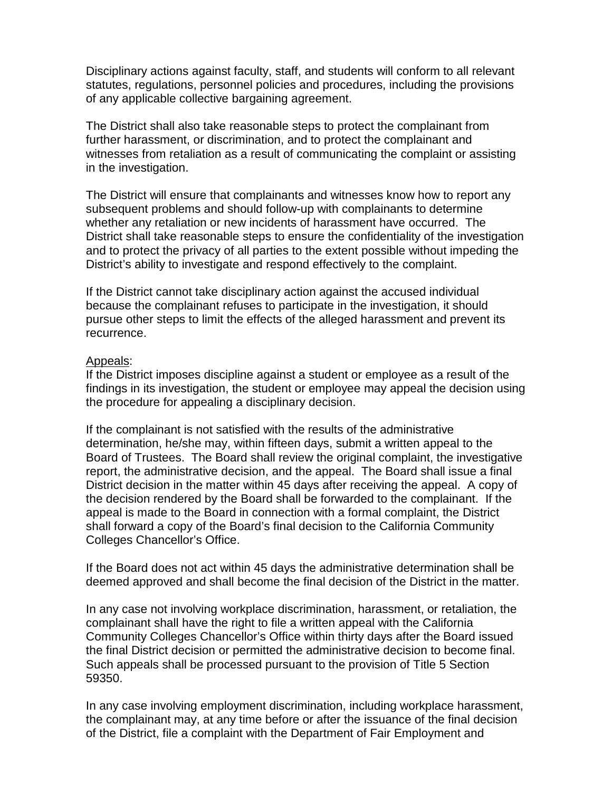Disciplinary actions against faculty, staff, and students will conform to all relevant statutes, regulations, personnel policies and procedures, including the provisions of any applicable collective bargaining agreement.

The District shall also take reasonable steps to protect the complainant from further harassment, or discrimination, and to protect the complainant and witnesses from retaliation as a result of communicating the complaint or assisting in the investigation.

The District will ensure that complainants and witnesses know how to report any subsequent problems and should follow-up with complainants to determine whether any retaliation or new incidents of harassment have occurred. The District shall take reasonable steps to ensure the confidentiality of the investigation and to protect the privacy of all parties to the extent possible without impeding the District's ability to investigate and respond effectively to the complaint.

If the District cannot take disciplinary action against the accused individual because the complainant refuses to participate in the investigation, it should pursue other steps to limit the effects of the alleged harassment and prevent its recurrence.

#### Appeals:

If the District imposes discipline against a student or employee as a result of the findings in its investigation, the student or employee may appeal the decision using the procedure for appealing a disciplinary decision.

If the complainant is not satisfied with the results of the administrative determination, he/she may, within fifteen days, submit a written appeal to the Board of Trustees. The Board shall review the original complaint, the investigative report, the administrative decision, and the appeal. The Board shall issue a final District decision in the matter within 45 days after receiving the appeal. A copy of the decision rendered by the Board shall be forwarded to the complainant. If the appeal is made to the Board in connection with a formal complaint, the District shall forward a copy of the Board's final decision to the California Community Colleges Chancellor's Office.

If the Board does not act within 45 days the administrative determination shall be deemed approved and shall become the final decision of the District in the matter.

In any case not involving workplace discrimination, harassment, or retaliation, the complainant shall have the right to file a written appeal with the California Community Colleges Chancellor's Office within thirty days after the Board issued the final District decision or permitted the administrative decision to become final. Such appeals shall be processed pursuant to the provision of Title 5 Section 59350.

In any case involving employment discrimination, including workplace harassment, the complainant may, at any time before or after the issuance of the final decision of the District, file a complaint with the Department of Fair Employment and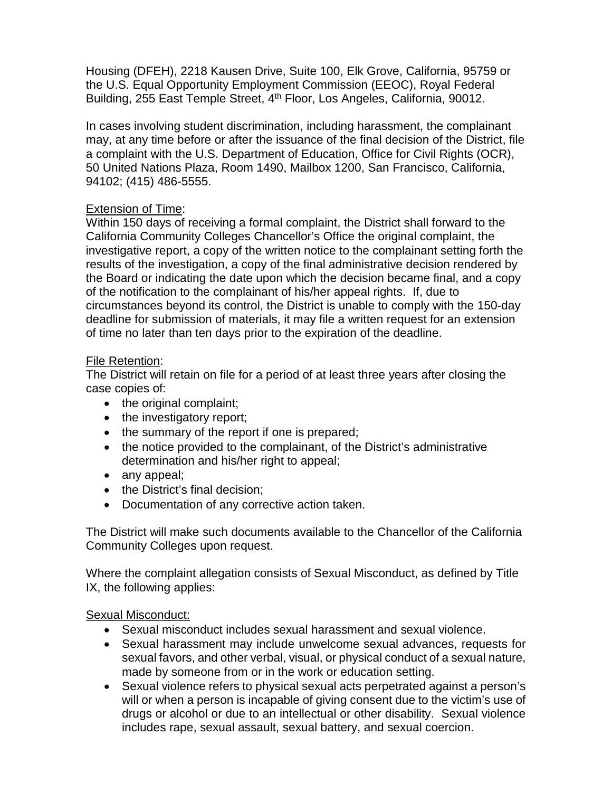Housing (DFEH), 2218 Kausen Drive, Suite 100, Elk Grove, California, 95759 or the U.S. Equal Opportunity Employment Commission (EEOC), Royal Federal Building, 255 East Temple Street, 4<sup>th</sup> Floor, Los Angeles, California, 90012.

In cases involving student discrimination, including harassment, the complainant may, at any time before or after the issuance of the final decision of the District, file a complaint with the U.S. Department of Education, Office for Civil Rights (OCR), 50 United Nations Plaza, Room 1490, Mailbox 1200, San Francisco, California, 94102; (415) 486-5555.

## Extension of Time:

Within 150 days of receiving a formal complaint, the District shall forward to the California Community Colleges Chancellor's Office the original complaint, the investigative report, a copy of the written notice to the complainant setting forth the results of the investigation, a copy of the final administrative decision rendered by the Board or indicating the date upon which the decision became final, and a copy of the notification to the complainant of his/her appeal rights. If, due to circumstances beyond its control, the District is unable to comply with the 150-day deadline for submission of materials, it may file a written request for an extension of time no later than ten days prior to the expiration of the deadline.

## File Retention:

The District will retain on file for a period of at least three years after closing the case copies of:

- the original complaint;
- the investigatory report;
- the summary of the report if one is prepared;
- the notice provided to the complainant, of the District's administrative determination and his/her right to appeal;
- any appeal;
- the District's final decision;
- Documentation of any corrective action taken.

The District will make such documents available to the Chancellor of the California Community Colleges upon request.

Where the complaint allegation consists of Sexual Misconduct, as defined by Title IX, the following applies:

## Sexual Misconduct:

- Sexual misconduct includes sexual harassment and sexual violence.
- Sexual harassment may include unwelcome sexual advances, requests for sexual favors, and other verbal, visual, or physical conduct of a sexual nature, made by someone from or in the work or education setting.
- Sexual violence refers to physical sexual acts perpetrated against a person's will or when a person is incapable of giving consent due to the victim's use of drugs or alcohol or due to an intellectual or other disability. Sexual violence includes rape, sexual assault, sexual battery, and sexual coercion.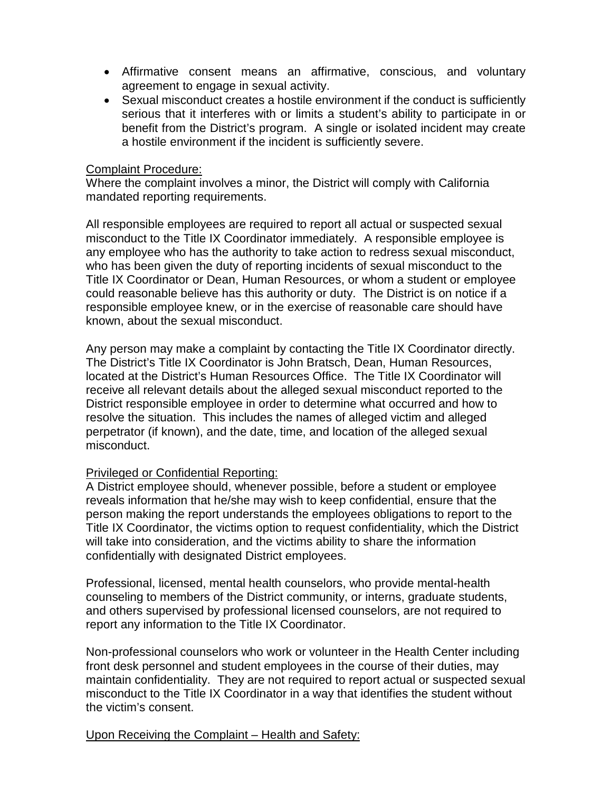- Affirmative consent means an affirmative, conscious, and voluntary agreement to engage in sexual activity.
- Sexual misconduct creates a hostile environment if the conduct is sufficiently serious that it interferes with or limits a student's ability to participate in or benefit from the District's program. A single or isolated incident may create a hostile environment if the incident is sufficiently severe.

#### Complaint Procedure:

Where the complaint involves a minor, the District will comply with California mandated reporting requirements.

All responsible employees are required to report all actual or suspected sexual misconduct to the Title IX Coordinator immediately. A responsible employee is any employee who has the authority to take action to redress sexual misconduct, who has been given the duty of reporting incidents of sexual misconduct to the Title IX Coordinator or Dean, Human Resources, or whom a student or employee could reasonable believe has this authority or duty. The District is on notice if a responsible employee knew, or in the exercise of reasonable care should have known, about the sexual misconduct.

Any person may make a complaint by contacting the Title IX Coordinator directly. The District's Title IX Coordinator is John Bratsch, Dean, Human Resources, located at the District's Human Resources Office. The Title IX Coordinator will receive all relevant details about the alleged sexual misconduct reported to the District responsible employee in order to determine what occurred and how to resolve the situation. This includes the names of alleged victim and alleged perpetrator (if known), and the date, time, and location of the alleged sexual misconduct.

## Privileged or Confidential Reporting:

A District employee should, whenever possible, before a student or employee reveals information that he/she may wish to keep confidential, ensure that the person making the report understands the employees obligations to report to the Title IX Coordinator, the victims option to request confidentiality, which the District will take into consideration, and the victims ability to share the information confidentially with designated District employees.

Professional, licensed, mental health counselors, who provide mental-health counseling to members of the District community, or interns, graduate students, and others supervised by professional licensed counselors, are not required to report any information to the Title IX Coordinator.

Non-professional counselors who work or volunteer in the Health Center including front desk personnel and student employees in the course of their duties, may maintain confidentiality. They are not required to report actual or suspected sexual misconduct to the Title IX Coordinator in a way that identifies the student without the victim's consent.

Upon Receiving the Complaint – Health and Safety: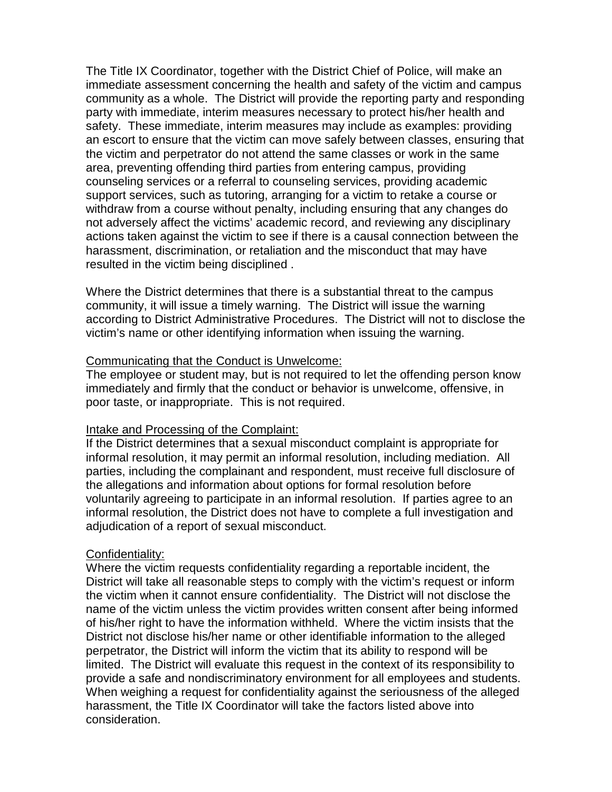The Title IX Coordinator, together with the District Chief of Police, will make an immediate assessment concerning the health and safety of the victim and campus community as a whole. The District will provide the reporting party and responding party with immediate, interim measures necessary to protect his/her health and safety. These immediate, interim measures may include as examples: providing an escort to ensure that the victim can move safely between classes, ensuring that the victim and perpetrator do not attend the same classes or work in the same area, preventing offending third parties from entering campus, providing counseling services or a referral to counseling services, providing academic support services, such as tutoring, arranging for a victim to retake a course or withdraw from a course without penalty, including ensuring that any changes do not adversely affect the victims' academic record, and reviewing any disciplinary actions taken against the victim to see if there is a causal connection between the harassment, discrimination, or retaliation and the misconduct that may have resulted in the victim being disciplined .

Where the District determines that there is a substantial threat to the campus community, it will issue a timely warning. The District will issue the warning according to District Administrative Procedures. The District will not to disclose the victim's name or other identifying information when issuing the warning.

#### Communicating that the Conduct is Unwelcome:

The employee or student may, but is not required to let the offending person know immediately and firmly that the conduct or behavior is unwelcome, offensive, in poor taste, or inappropriate. This is not required.

#### Intake and Processing of the Complaint:

If the District determines that a sexual misconduct complaint is appropriate for informal resolution, it may permit an informal resolution, including mediation. All parties, including the complainant and respondent, must receive full disclosure of the allegations and information about options for formal resolution before voluntarily agreeing to participate in an informal resolution. If parties agree to an informal resolution, the District does not have to complete a full investigation and adjudication of a report of sexual misconduct.

## Confidentiality:

Where the victim requests confidentiality regarding a reportable incident, the District will take all reasonable steps to comply with the victim's request or inform the victim when it cannot ensure confidentiality. The District will not disclose the name of the victim unless the victim provides written consent after being informed of his/her right to have the information withheld. Where the victim insists that the District not disclose his/her name or other identifiable information to the alleged perpetrator, the District will inform the victim that its ability to respond will be limited. The District will evaluate this request in the context of its responsibility to provide a safe and nondiscriminatory environment for all employees and students. When weighing a request for confidentiality against the seriousness of the alleged harassment, the Title IX Coordinator will take the factors listed above into consideration.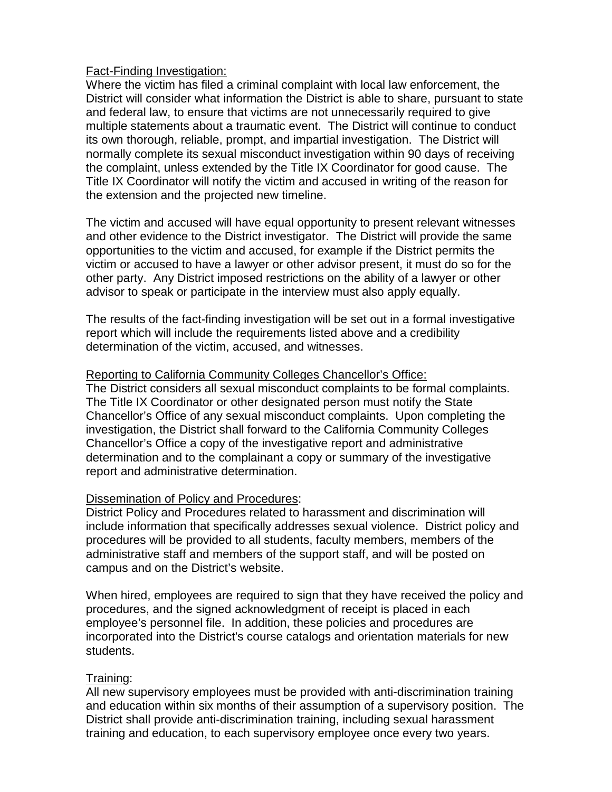## Fact-Finding Investigation:

Where the victim has filed a criminal complaint with local law enforcement, the District will consider what information the District is able to share, pursuant to state and federal law, to ensure that victims are not unnecessarily required to give multiple statements about a traumatic event. The District will continue to conduct its own thorough, reliable, prompt, and impartial investigation. The District will normally complete its sexual misconduct investigation within 90 days of receiving the complaint, unless extended by the Title IX Coordinator for good cause. The Title IX Coordinator will notify the victim and accused in writing of the reason for the extension and the projected new timeline.

The victim and accused will have equal opportunity to present relevant witnesses and other evidence to the District investigator. The District will provide the same opportunities to the victim and accused, for example if the District permits the victim or accused to have a lawyer or other advisor present, it must do so for the other party. Any District imposed restrictions on the ability of a lawyer or other advisor to speak or participate in the interview must also apply equally.

The results of the fact-finding investigation will be set out in a formal investigative report which will include the requirements listed above and a credibility determination of the victim, accused, and witnesses.

## Reporting to California Community Colleges Chancellor's Office:

The District considers all sexual misconduct complaints to be formal complaints. The Title IX Coordinator or other designated person must notify the State Chancellor's Office of any sexual misconduct complaints. Upon completing the investigation, the District shall forward to the California Community Colleges Chancellor's Office a copy of the investigative report and administrative determination and to the complainant a copy or summary of the investigative report and administrative determination.

## Dissemination of Policy and Procedures:

District Policy and Procedures related to harassment and discrimination will include information that specifically addresses sexual violence. District policy and procedures will be provided to all students, faculty members, members of the administrative staff and members of the support staff, and will be posted on campus and on the District's website.

When hired, employees are required to sign that they have received the policy and procedures, and the signed acknowledgment of receipt is placed in each employee's personnel file. In addition, these policies and procedures are incorporated into the District's course catalogs and orientation materials for new students.

## Training:

All new supervisory employees must be provided with anti-discrimination training and education within six months of their assumption of a supervisory position. The District shall provide anti-discrimination training, including sexual harassment training and education, to each supervisory employee once every two years.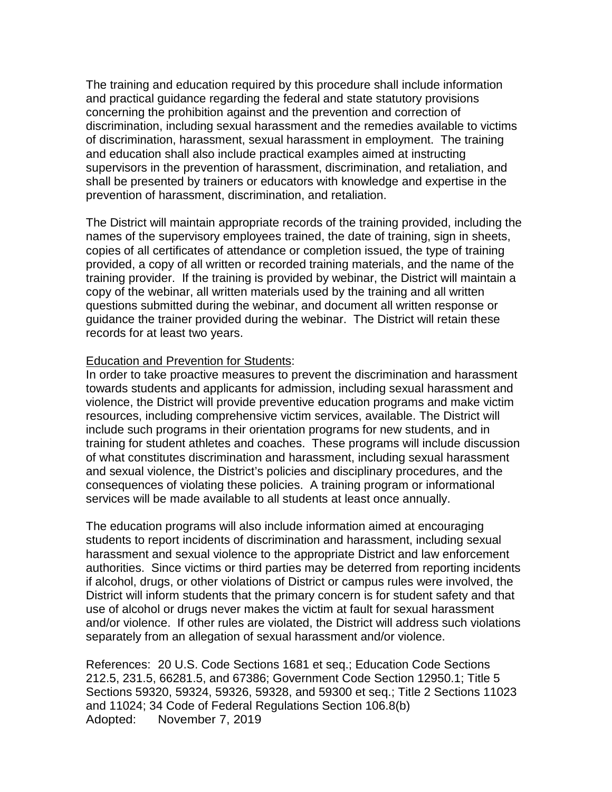The training and education required by this procedure shall include information and practical guidance regarding the federal and state statutory provisions concerning the prohibition against and the prevention and correction of discrimination, including sexual harassment and the remedies available to victims of discrimination, harassment, sexual harassment in employment. The training and education shall also include practical examples aimed at instructing supervisors in the prevention of harassment, discrimination, and retaliation, and shall be presented by trainers or educators with knowledge and expertise in the prevention of harassment, discrimination, and retaliation.

The District will maintain appropriate records of the training provided, including the names of the supervisory employees trained, the date of training, sign in sheets, copies of all certificates of attendance or completion issued, the type of training provided, a copy of all written or recorded training materials, and the name of the training provider. If the training is provided by webinar, the District will maintain a copy of the webinar, all written materials used by the training and all written questions submitted during the webinar, and document all written response or guidance the trainer provided during the webinar. The District will retain these records for at least two years.

#### Education and Prevention for Students:

In order to take proactive measures to prevent the discrimination and harassment towards students and applicants for admission, including sexual harassment and violence, the District will provide preventive education programs and make victim resources, including comprehensive victim services, available. The District will include such programs in their orientation programs for new students, and in training for student athletes and coaches. These programs will include discussion of what constitutes discrimination and harassment, including sexual harassment and sexual violence, the District's policies and disciplinary procedures, and the consequences of violating these policies. A training program or informational services will be made available to all students at least once annually.

The education programs will also include information aimed at encouraging students to report incidents of discrimination and harassment, including sexual harassment and sexual violence to the appropriate District and law enforcement authorities. Since victims or third parties may be deterred from reporting incidents if alcohol, drugs, or other violations of District or campus rules were involved, the District will inform students that the primary concern is for student safety and that use of alcohol or drugs never makes the victim at fault for sexual harassment and/or violence. If other rules are violated, the District will address such violations separately from an allegation of sexual harassment and/or violence.

References: 20 U.S. Code Sections 1681 et seq.; Education Code Sections 212.5, 231.5, 66281.5, and 67386; Government Code Section 12950.1; Title 5 Sections 59320, 59324, 59326, 59328, and 59300 et seq.; Title 2 Sections 11023 and 11024; 34 Code of Federal Regulations Section 106.8(b) Adopted: November 7, 2019